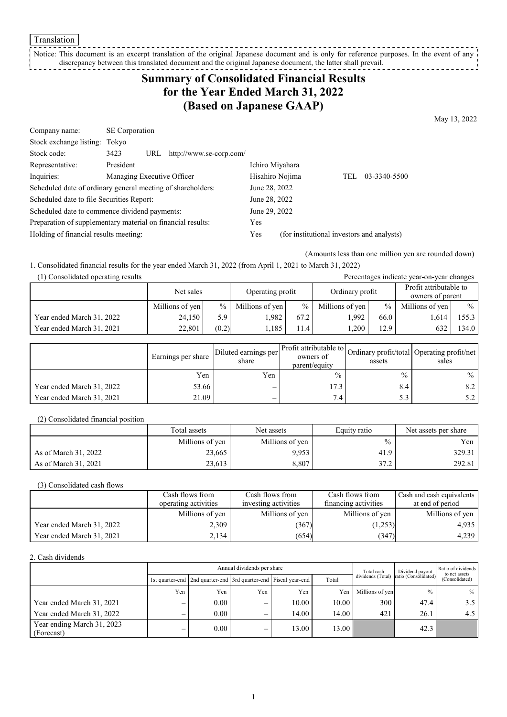Translation

#### Notice: This document is an excerpt translation of the original Japanese document and is only for reference purposes. In the event of any discrepancy between this translated document and the original Japanese document, the latter shall prevail. <u> - - - - - - - - -</u>

# **Summary of Consolidated Financial Results for the Year Ended March 31, 2022 (Based on Japanese GAAP)**

May 13, 2022

| Company name:                                               | SE Corporation             |                         |                 |                                            |     |              |
|-------------------------------------------------------------|----------------------------|-------------------------|-----------------|--------------------------------------------|-----|--------------|
| Stock exchange listing: Tokyo                               |                            |                         |                 |                                            |     |              |
| Stock code:                                                 | 3423<br>URL                | http://www.se-corp.com/ |                 |                                            |     |              |
| Representative:                                             | President                  |                         | Ichiro Miyahara |                                            |     |              |
| Inquiries:                                                  | Managing Executive Officer |                         | Hisahiro Nojima |                                            | TEL | 03-3340-5500 |
| Scheduled date of ordinary general meeting of shareholders: |                            |                         | June 28, 2022   |                                            |     |              |
| Scheduled date to file Securities Report:                   |                            |                         | June 28, 2022   |                                            |     |              |
| Scheduled date to commence dividend payments:               |                            |                         | June 29, 2022   |                                            |     |              |
| Preparation of supplementary material on financial results: |                            |                         | Yes             |                                            |     |              |
| Holding of financial results meeting:                       |                            |                         | Yes             | (for institutional investors and analysts) |     |              |

(Amounts less than one million yen are rounded down)

1. Consolidated financial results for the year ended March 31, 2022 (from April 1, 2021 to March 31, 2022)

| (1) Consolidated operating results | Percentages indicate year-on-year changes |       |                  |               |                 |               |                                            |               |
|------------------------------------|-------------------------------------------|-------|------------------|---------------|-----------------|---------------|--------------------------------------------|---------------|
|                                    | Net sales                                 |       | Operating profit |               | Ordinary profit |               | Profit attributable to<br>owners of parent |               |
|                                    | Millions of yen                           | $\%$  | Millions of yen  | $\frac{0}{0}$ | Millions of yen | $\frac{9}{6}$ | Millions of yen                            | $\frac{0}{0}$ |
| Year ended March 31, 2022          | 24.150                                    | 5.9   | 1.982            | 67.2          | 1.992           | 66.0          | 1.614                                      | 155.3         |
| Year ended March 31, 2021          | 22,801                                    | (0.2) | 1.185            | 11.4          | ,200            | 12.9          |                                            | 134.0         |

|                           | Earnings per share | Diluted earnings per<br>share | owners of<br>parent/equity | assets | Ner Profit attributable to Ordinary profit/total Operating profit/net '<br>sales |
|---------------------------|--------------------|-------------------------------|----------------------------|--------|----------------------------------------------------------------------------------|
|                           | Yen                | Yen                           | $\frac{0}{0}$              | $\%$   | $\frac{0}{0}$                                                                    |
| Year ended March 31, 2022 | 53.66              |                               | l 7.3                      | 8.4    | 8.2                                                                              |
| Year ended March 31, 2021 | 21.09              | –                             | 7.4                        | 5.3    |                                                                                  |

(2) Consolidated financial position

|                      | Total assets    | Net assets      | Equity ratio  | Net assets per share |
|----------------------|-----------------|-----------------|---------------|----------------------|
|                      | Millions of yen | Millions of yen | $\frac{0}{0}$ | Yen l                |
| As of March 31, 2022 | 23,665          | 9,953           | 41.9          | 329.31               |
| As of March 31, 2021 | 23,613          | 8,807           | 37.2          | 292.81               |

(3) Consolidated cash flows

|                           | Cash flows from<br>Cash flows from |                      | Cash flows from      | Cash and cash equivalents |
|---------------------------|------------------------------------|----------------------|----------------------|---------------------------|
|                           | operating activities               | investing activities | financing activities | at end of period          |
|                           | Millions of yen                    | Millions of yen      | Millions of yen      | Millions of yen           |
| Year ended March 31, 2022 | 2,309                              | (367)                | (1,253)              | 4,935                     |
| Year ended March 31, 2021 | 2,134                              | (654)                | (347)                | 4,239                     |

2. Cash dividends

|                                          | Annual dividends per share |                                                                 |     |       |       |                   |                      | Ratio of dividends<br>to net assets |  |
|------------------------------------------|----------------------------|-----------------------------------------------------------------|-----|-------|-------|-------------------|----------------------|-------------------------------------|--|
|                                          |                            | 1st quarter-end 2nd quarter-end 3rd quarter-end Fiscal year-end |     |       | Total | dividends (Total) | ratio (Consolidated) | (Consolidated)                      |  |
|                                          | Yen                        | Yen                                                             | Yen | Yen   | Yen   | Millions of yen   | $\frac{0}{0}$        | $%$                                 |  |
| Year ended March 31, 2021                |                            | 0.00                                                            | –   | 10.00 | 10.00 | 300               | 47.4                 | 3.5                                 |  |
| Year ended March 31, 2022                |                            | 0.00                                                            |     | 14.00 | 14.00 | 421               | 26.1                 | 4.5                                 |  |
| Year ending March 31, 2023<br>(Forecast) |                            | 0.00                                                            | —   | 13.00 | 13.00 |                   | 42.3                 |                                     |  |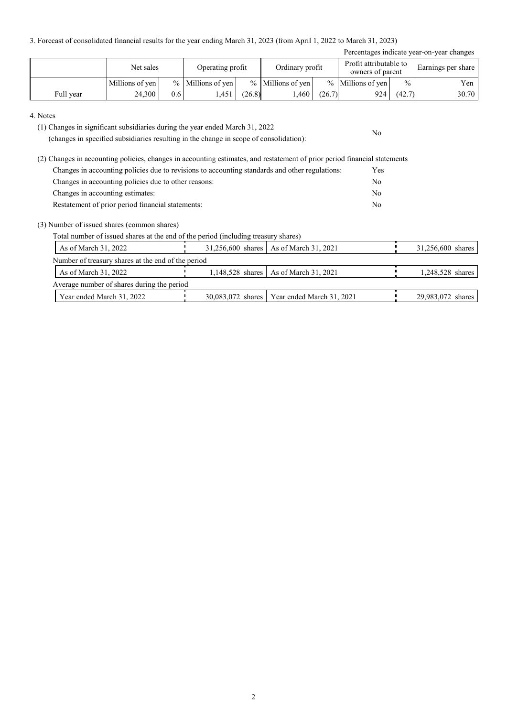3. Forecast of consolidated financial results for the year ending March 31, 2023 (from April 1, 2022 to March 31, 2023)

|           | Percentages indicate year-on-year changes |     |                     |        |                     |        |                                            |               |                    |  |  |  |
|-----------|-------------------------------------------|-----|---------------------|--------|---------------------|--------|--------------------------------------------|---------------|--------------------|--|--|--|
|           | Net sales                                 |     | Operating profit    |        | Ordinary profit     |        | Profit attributable to<br>owners of parent |               | Earnings per share |  |  |  |
|           | Millions of yen                           |     | $%$ Millions of yen |        | $%$ Millions of ven |        | $%$ Millions of ven                        | $\frac{0}{0}$ | Yen                |  |  |  |
| Full year | 24,300                                    | 0.6 | .451                | (26.8) | .460                | (26.7) | 924                                        | (42.7)        | 30.70              |  |  |  |

No

#### 4. Notes

(1) Changes in significant subsidiaries during the year ended March 31, 2022

(changes in specified subsidiaries resulting in the change in scope of consolidation):

(2) Changes in accounting policies, changes in accounting estimates, and restatement of prior period financial statements Changes in accounting policies due to revisions to accounting standards and other regulations: Yes Changes in accounting policies due to other reasons: No Changes in accounting estimates: No Restatement of prior period financial statements: No

#### (3) Number of issued shares (common shares)

Total number of issued shares at the end of the period (including treasury shares)

| As of March 31, 2022                               |  | 31,256,600 shares   As of March 31, 2021      | 31,256,600 shares |
|----------------------------------------------------|--|-----------------------------------------------|-------------------|
| Number of treasury shares at the end of the period |  |                                               |                   |
| As of March 31, 2022                               |  | 1,148,528 shares   As of March 31, 2021       | 1,248,528 shares  |
| Average number of shares during the period         |  |                                               |                   |
| Year ended March 31, 2022                          |  | 30,083,072 shares   Year ended March 31, 2021 | 29,983,072 shares |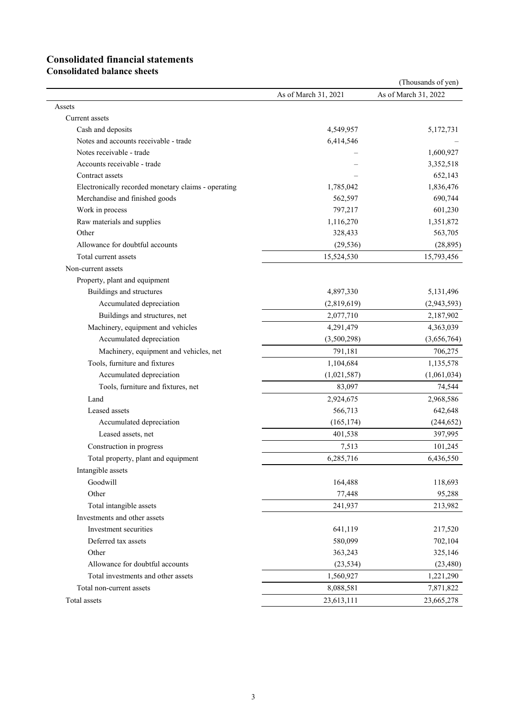# **Consolidated financial statements**

**Consolidated balance sheets**

|                                                       |                      | (Thousands of yen)   |
|-------------------------------------------------------|----------------------|----------------------|
|                                                       | As of March 31, 2021 | As of March 31, 2022 |
| Assets                                                |                      |                      |
| Current assets                                        |                      |                      |
| Cash and deposits                                     | 4,549,957            | 5,172,731            |
| Notes and accounts receivable - trade                 | 6,414,546            |                      |
| Notes receivable - trade                              |                      | 1,600,927            |
| Accounts receivable - trade                           |                      | 3,352,518            |
| Contract assets                                       |                      | 652,143              |
| Electronically recorded monetary claims - operating   | 1,785,042            | 1,836,476            |
| Merchandise and finished goods                        | 562,597              | 690,744              |
| Work in process                                       | 797,217              | 601,230              |
| Raw materials and supplies                            | 1,116,270            | 1,351,872            |
| Other                                                 | 328,433              | 563,705              |
| Allowance for doubtful accounts                       | (29, 536)            | (28, 895)            |
| Total current assets                                  | 15,524,530           | 15,793,456           |
| Non-current assets                                    |                      |                      |
| Property, plant and equipment                         |                      |                      |
| Buildings and structures                              | 4,897,330            | 5,131,496            |
| Accumulated depreciation                              | (2,819,619)          | (2,943,593)          |
| Buildings and structures, net                         | 2,077,710            | 2,187,902            |
| Machinery, equipment and vehicles                     | 4,291,479            | 4,363,039            |
| Accumulated depreciation                              | (3,500,298)          | (3,656,764)          |
| Machinery, equipment and vehicles, net                | 791,181              | 706,275              |
| Tools, furniture and fixtures                         | 1,104,684            | 1,135,578            |
| Accumulated depreciation                              | (1,021,587)          | (1,061,034)          |
| Tools, furniture and fixtures, net                    | 83,097               | 74,544               |
| Land                                                  | 2,924,675            | 2,968,586            |
| Leased assets                                         | 566,713              | 642,648              |
| Accumulated depreciation                              | (165, 174)           | (244, 652)           |
| Leased assets, net                                    | 401,538              | 397,995              |
| Construction in progress                              | 7,513                | 101,245              |
| Total property, plant and equipment                   | 6,285,716            | 6,436,550            |
| Intangible assets                                     |                      |                      |
| Goodwill                                              | 164,488              | 118,693              |
| Other                                                 | 77,448               | 95,288               |
| Total intangible assets                               | 241,937              | 213,982              |
|                                                       |                      |                      |
| Investments and other assets<br>Investment securities | 641,119              |                      |
|                                                       | 580,099              | 217,520              |
| Deferred tax assets<br>Other                          | 363,243              | 702,104<br>325,146   |
|                                                       |                      |                      |
| Allowance for doubtful accounts                       | (23, 534)            | (23, 480)            |
| Total investments and other assets                    | 1,560,927            | 1,221,290            |
| Total non-current assets                              | 8,088,581            | 7,871,822            |
| Total assets                                          | 23,613,111           | 23,665,278           |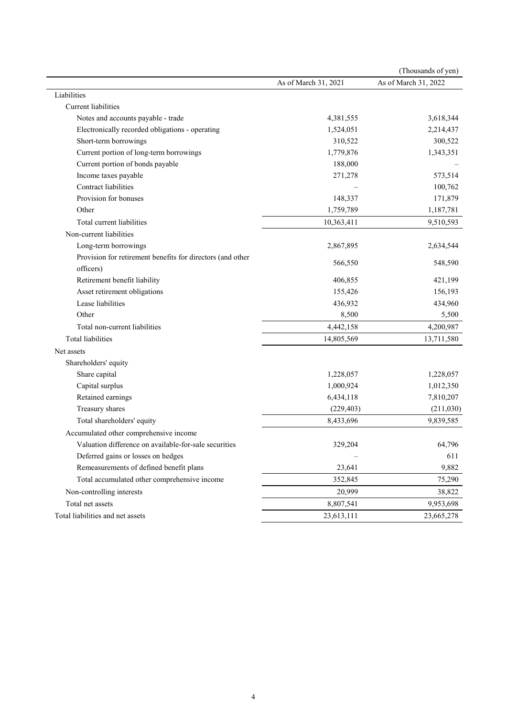|                                                            |                          | (Thousands of yen)   |
|------------------------------------------------------------|--------------------------|----------------------|
|                                                            | As of March 31, 2021     | As of March 31, 2022 |
| Liabilities                                                |                          |                      |
| <b>Current</b> liabilities                                 |                          |                      |
| Notes and accounts payable - trade                         | 4,381,555                | 3,618,344            |
| Electronically recorded obligations - operating            | 1,524,051                | 2,214,437            |
| Short-term borrowings                                      | 310,522                  | 300,522              |
| Current portion of long-term borrowings                    | 1,779,876                | 1,343,351            |
| Current portion of bonds payable                           | 188,000                  |                      |
| Income taxes payable                                       | 271,278                  | 573,514              |
| Contract liabilities                                       |                          | 100,762              |
| Provision for bonuses                                      | 148,337                  | 171,879              |
| Other                                                      | 1,759,789                | 1,187,781            |
| Total current liabilities                                  | 10,363,411               | 9,510,593            |
| Non-current liabilities                                    |                          |                      |
| Long-term borrowings                                       | 2,867,895                | 2,634,544            |
| Provision for retirement benefits for directors (and other |                          |                      |
| officers)                                                  | 566,550                  | 548,590              |
| Retirement benefit liability                               | 406,855                  | 421,199              |
| Asset retirement obligations                               | 155,426                  | 156,193              |
| Lease liabilities                                          | 436,932                  | 434,960              |
| Other                                                      | 8,500                    | 5,500                |
| Total non-current liabilities                              | 4,442,158                | 4,200,987            |
| <b>Total liabilities</b>                                   | 14,805,569               | 13,711,580           |
| Net assets                                                 |                          |                      |
| Shareholders' equity                                       |                          |                      |
| Share capital                                              | 1,228,057                | 1,228,057            |
| Capital surplus                                            | 1,000,924                | 1,012,350            |
| Retained earnings                                          | 6,434,118                | 7,810,207            |
| Treasury shares                                            | (229, 403)               | (211,030)            |
| Total shareholders' equity                                 | 8,433,696                | 9,839,585            |
| Accumulated other comprehensive income                     |                          |                      |
| Valuation difference on available-for-sale securities      | 329,204                  | 64,796               |
| Deferred gains or losses on hedges                         | $\overline{\phantom{m}}$ | 611                  |
| Remeasurements of defined benefit plans                    | 23,641                   | 9,882                |
| Total accumulated other comprehensive income               | 352,845                  | 75,290               |
| Non-controlling interests                                  | 20,999                   | 38,822               |
| Total net assets                                           | 8,807,541                | 9,953,698            |
| Total liabilities and net assets                           | 23,613,111               | 23,665,278           |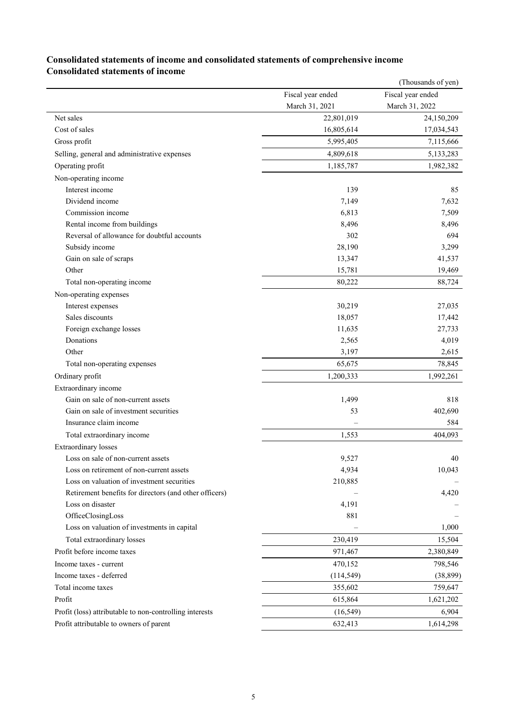## (Thousands of yen) Fiscal year ended March 31, 2021 Fiscal year ended March 31, 2022 Net sales 22,801,019 24,150,209 Cost of sales 16,805,614 17,034,543 Gross profit 7,115,666 7,115,666 Selling, general and administrative expenses 6.133,283 4,809,618 5,133,283 Operating profit 1,185,787 1,982,382 Non-operating income Interest income and the state of the state of the state of the state of the state of the state of the state of the state of the state of the state of the state of the state of the state of the state of the state of the sta Dividend income 7,149 7,149 7,632 Commission income 6,813 7,509 Rental income from buildings 8,496 8,496 Reversal of allowance for doubtful accounts 302 694 Subsidy income  $28,190$   $3,299$ Gain on sale of scraps 13,347 41,537 Other 15,781 19,469 Total non-operating income 80,222 88,724 Non-operating expenses Interest expenses 27,035 Sales discounts 17,442 Foreign exchange losses 27,733 Donations 2,565 4,019 Other 3,197 2,615 Total non-operating expenses 65,675 78,845 Ordinary profit 1,200,333 1,992,261 Extraordinary income Gain on sale of non-current assets 818 Gain on sale of investment securities 53 402,690 Insurance claim income – 584 Total extraordinary income  $1,553$  404,093 Extraordinary losses Loss on sale of non-current assets 40 Loss on retirement of non-current assets 4,934 10,043 Loss on valuation of investment securities 210,885 – Retirement benefits for directors (and other officers)  $-$  4,420 Loss on disaster 4,191 OfficeClosingLoss 881 Loss on valuation of investments in capital  $-$  1,000 Total extraordinary losses 230,419 15,504 Profit before income taxes 2,380,849 Income taxes - current 470,152 798,546 Income taxes - deferred (114,549) (38,899) Total income taxes 355,602 759,647 Profit **615,864** 1,621,202 Profit (loss) attributable to non-controlling interests (16,549) (16,549) 6,904 Profit attributable to owners of parent  $632.413$  1,614,298

## **Consolidated statements of income and consolidated statements of comprehensive income Consolidated statements of income**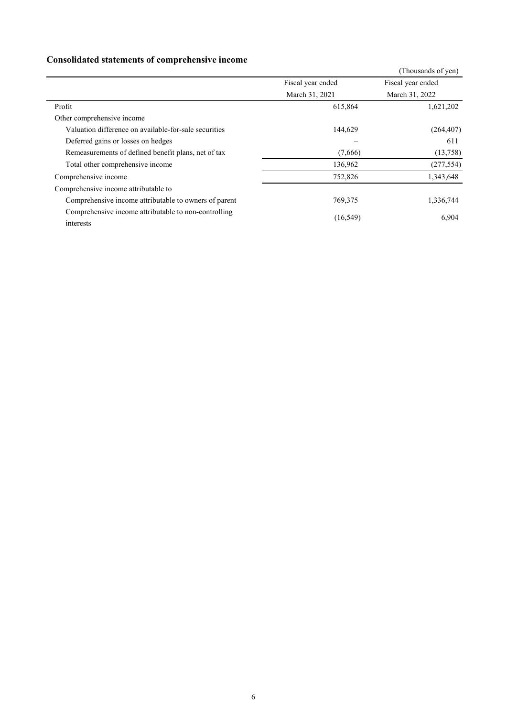# **Consolidated statements of comprehensive income**

|                                                                   |                   | (Thousands of yen) |
|-------------------------------------------------------------------|-------------------|--------------------|
|                                                                   | Fiscal year ended | Fiscal year ended  |
|                                                                   | March 31, 2021    | March 31, 2022     |
| Profit                                                            | 615,864           | 1,621,202          |
| Other comprehensive income                                        |                   |                    |
| Valuation difference on available-for-sale securities             | 144,629           | (264, 407)         |
| Deferred gains or losses on hedges                                |                   | 611                |
| Remeasurements of defined benefit plans, net of tax               | (7,666)           | (13,758)           |
| Total other comprehensive income                                  | 136,962           | (277, 554)         |
| Comprehensive income                                              | 752,826           | 1,343,648          |
| Comprehensive income attributable to                              |                   |                    |
| Comprehensive income attributable to owners of parent             | 769,375           | 1,336,744          |
| Comprehensive income attributable to non-controlling<br>interests | (16, 549)         | 6,904              |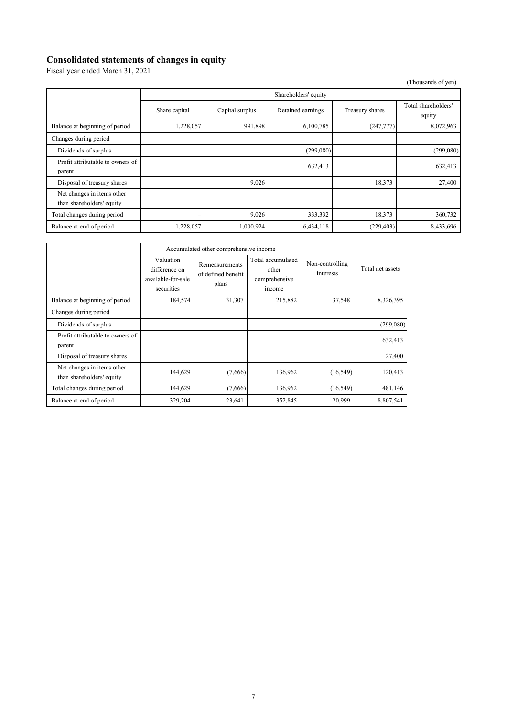### **Consolidated statements of changes in equity**

Fiscal year ended March 31, 2021

|                                                         |               |                      |                   |                 | (Thousands of yen)            |  |  |  |  |  |  |
|---------------------------------------------------------|---------------|----------------------|-------------------|-----------------|-------------------------------|--|--|--|--|--|--|
|                                                         |               | Shareholders' equity |                   |                 |                               |  |  |  |  |  |  |
|                                                         | Share capital | Capital surplus      | Retained earnings | Treasury shares | Total shareholders'<br>equity |  |  |  |  |  |  |
| Balance at beginning of period                          | 1,228,057     | 991,898              | 6,100,785         | (247,777)       | 8,072,963                     |  |  |  |  |  |  |
| Changes during period                                   |               |                      |                   |                 |                               |  |  |  |  |  |  |
| Dividends of surplus                                    |               |                      | (299,080)         |                 | (299,080)                     |  |  |  |  |  |  |
| Profit attributable to owners of<br>parent              |               |                      | 632,413           |                 | 632,413                       |  |  |  |  |  |  |
| Disposal of treasury shares                             |               | 9,026                |                   | 18,373          | 27,400                        |  |  |  |  |  |  |
| Net changes in items other<br>than shareholders' equity |               |                      |                   |                 |                               |  |  |  |  |  |  |
| Total changes during period                             | -             | 9,026                | 333,332           | 18,373          | 360,732                       |  |  |  |  |  |  |
| Balance at end of period                                | 1,228,057     | 1,000,924            | 6,434,118         | (229, 403)      | 8,433,696                     |  |  |  |  |  |  |

|                                                         | Accumulated other comprehensive income                         |                                               |                                                       |                              |                  |
|---------------------------------------------------------|----------------------------------------------------------------|-----------------------------------------------|-------------------------------------------------------|------------------------------|------------------|
|                                                         | Valuation<br>difference on<br>available-for-sale<br>securities | Remeasurements<br>of defined benefit<br>plans | Total accumulated<br>other<br>comprehensive<br>income | Non-controlling<br>interests | Total net assets |
| Balance at beginning of period                          | 184,574                                                        | 31,307                                        | 215,882                                               | 37,548                       | 8,326,395        |
| Changes during period                                   |                                                                |                                               |                                                       |                              |                  |
| Dividends of surplus                                    |                                                                |                                               |                                                       |                              | (299,080)        |
| Profit attributable to owners of<br>parent              |                                                                |                                               |                                                       |                              | 632,413          |
| Disposal of treasury shares                             |                                                                |                                               |                                                       |                              | 27,400           |
| Net changes in items other<br>than shareholders' equity | 144,629                                                        | (7,666)                                       | 136,962                                               | (16, 549)                    | 120,413          |
| Total changes during period                             | 144,629                                                        | (7,666)                                       | 136,962                                               | (16, 549)                    | 481,146          |
| Balance at end of period                                | 329,204                                                        | 23,641                                        | 352,845                                               | 20,999                       | 8,807,541        |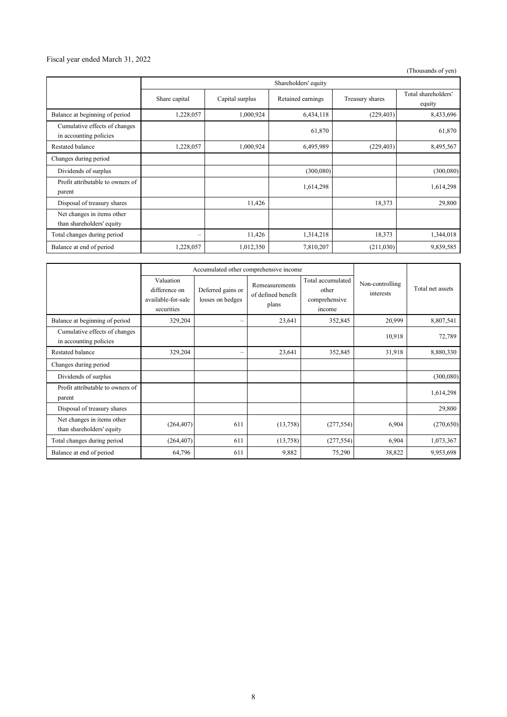### Fiscal year ended March 31, 2022

(Thousands of yen)

|                                                         | Shareholders' equity |                 |                   |                 |                               |
|---------------------------------------------------------|----------------------|-----------------|-------------------|-----------------|-------------------------------|
|                                                         | Share capital        | Capital surplus | Retained earnings | Treasury shares | Total shareholders'<br>equity |
| Balance at beginning of period                          | 1,228,057            | 1,000,924       | 6,434,118         | (229, 403)      | 8,433,696                     |
| Cumulative effects of changes<br>in accounting policies |                      |                 | 61,870            |                 | 61,870                        |
| Restated balance                                        | 1,228,057            | 1,000,924       | 6,495,989         | (229, 403)      | 8,495,567                     |
| Changes during period                                   |                      |                 |                   |                 |                               |
| Dividends of surplus                                    |                      |                 | (300,080)         |                 | (300,080)                     |
| Profit attributable to owners of<br>parent              |                      |                 | 1,614,298         |                 | 1,614,298                     |
| Disposal of treasury shares                             |                      | 11,426          |                   | 18,373          | 29,800                        |
| Net changes in items other<br>than shareholders' equity |                      |                 |                   |                 |                               |
| Total changes during period                             | -                    | 11,426          | 1,314,218         | 18,373          | 1,344,018                     |
| Balance at end of period                                | 1,228,057            | 1,012,350       | 7,810,207         | (211,030)       | 9,839,585                     |

|                                                         | Accumulated other comprehensive income                         |                                       |                                               |                                                       |                              |                  |
|---------------------------------------------------------|----------------------------------------------------------------|---------------------------------------|-----------------------------------------------|-------------------------------------------------------|------------------------------|------------------|
|                                                         | Valuation<br>difference on<br>available-for-sale<br>securities | Deferred gains or<br>losses on hedges | Remeasurements<br>of defined benefit<br>plans | Total accumulated<br>other<br>comprehensive<br>income | Non-controlling<br>interests | Total net assets |
| Balance at beginning of period                          | 329,204                                                        | $\overline{\phantom{0}}$              | 23,641                                        | 352,845                                               | 20,999                       | 8,807,541        |
| Cumulative effects of changes<br>in accounting policies |                                                                |                                       |                                               |                                                       | 10,918                       | 72,789           |
| Restated balance                                        | 329,204                                                        | $\qquad \qquad -$                     | 23,641                                        | 352,845                                               | 31,918                       | 8,880,330        |
| Changes during period                                   |                                                                |                                       |                                               |                                                       |                              |                  |
| Dividends of surplus                                    |                                                                |                                       |                                               |                                                       |                              | (300, 080)       |
| Profit attributable to owners of<br>parent              |                                                                |                                       |                                               |                                                       |                              | 1,614,298        |
| Disposal of treasury shares                             |                                                                |                                       |                                               |                                                       |                              | 29,800           |
| Net changes in items other<br>than shareholders' equity | (264, 407)                                                     | 611                                   | (13,758)                                      | (277, 554)                                            | 6,904                        | (270, 650)       |
| Total changes during period                             | (264, 407)                                                     | 611                                   | (13,758)                                      | (277, 554)                                            | 6,904                        | 1,073,367        |
| Balance at end of period                                | 64,796                                                         | 611                                   | 9,882                                         | 75,290                                                | 38,822                       | 9,953,698        |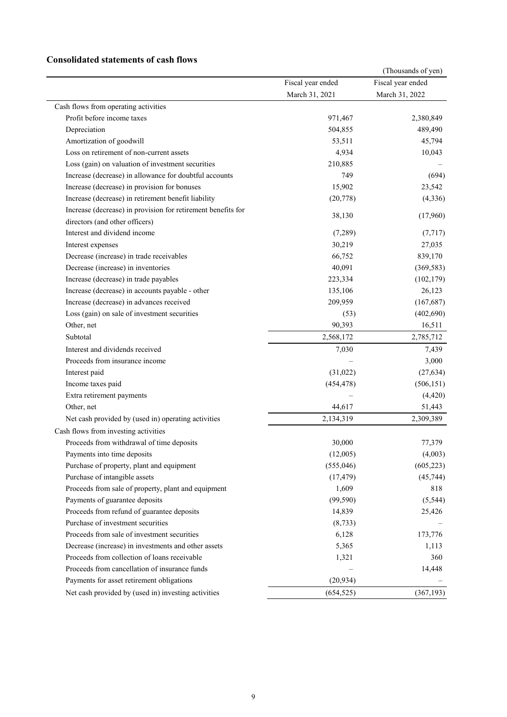## **Consolidated statements of cash flows**

| Fiscal year ended<br>Fiscal year ended<br>March 31, 2021<br>March 31, 2022<br>Cash flows from operating activities<br>Profit before income taxes<br>971,467<br>Depreciation<br>504,855<br>Amortization of goodwill<br>53,511<br>Loss on retirement of non-current assets<br>4,934<br>Loss (gain) on valuation of investment securities<br>210,885<br>Increase (decrease) in allowance for doubtful accounts<br>749<br>Increase (decrease) in provision for bonuses<br>15,902<br>Increase (decrease) in retirement benefit liability<br>(20, 778)<br>Increase (decrease) in provision for retirement benefits for<br>38,130<br>(17,960)<br>directors (and other officers)<br>Interest and dividend income<br>(7,289)<br>30,219<br>Interest expenses<br>Decrease (increase) in trade receivables<br>66,752<br>Decrease (increase) in inventories<br>40,091<br>Increase (decrease) in trade payables<br>223,334<br>Increase (decrease) in accounts payable - other<br>135,106<br>Increase (decrease) in advances received<br>209,959<br>Loss (gain) on sale of investment securities<br>(53)<br>Other, net<br>90,393<br>16,511<br>Subtotal<br>2,568,172<br>Interest and dividends received<br>7,030<br>Proceeds from insurance income<br>Interest paid<br>(31,022)<br>Income taxes paid<br>(454, 478)<br>Extra retirement payments<br>Other, net<br>44,617<br>2,134,319<br>Net cash provided by (used in) operating activities<br>Cash flows from investing activities<br>30,000<br>77,379<br>Proceeds from withdrawal of time deposits<br>Payments into time deposits<br>(12,005)<br>Purchase of property, plant and equipment<br>(555,046)<br>Purchase of intangible assets<br>(17, 479)<br>Proceeds from sale of property, plant and equipment<br>1,609<br>Payments of guarantee deposits<br>(99, 590)<br>Proceeds from refund of guarantee deposits<br>14,839<br>Purchase of investment securities<br>(8, 733)<br>Proceeds from sale of investment securities<br>6,128<br>Decrease (increase) in investments and other assets<br>5,365<br>1,113<br>Proceeds from collection of loans receivable<br>1,321<br>Proceeds from cancellation of insurance funds<br>14,448<br>Payments for asset retirement obligations<br>(20, 934)<br>Net cash provided by (used in) investing activities<br>(654, 525) |  | (Thousands of yen) |
|-----------------------------------------------------------------------------------------------------------------------------------------------------------------------------------------------------------------------------------------------------------------------------------------------------------------------------------------------------------------------------------------------------------------------------------------------------------------------------------------------------------------------------------------------------------------------------------------------------------------------------------------------------------------------------------------------------------------------------------------------------------------------------------------------------------------------------------------------------------------------------------------------------------------------------------------------------------------------------------------------------------------------------------------------------------------------------------------------------------------------------------------------------------------------------------------------------------------------------------------------------------------------------------------------------------------------------------------------------------------------------------------------------------------------------------------------------------------------------------------------------------------------------------------------------------------------------------------------------------------------------------------------------------------------------------------------------------------------------------------------------------------------------------------------------------------------------------------------------------------------------------------------------------------------------------------------------------------------------------------------------------------------------------------------------------------------------------------------------------------------------------------------------------------------------------------------------------------------------------------------------------------------------------------------------|--|--------------------|
|                                                                                                                                                                                                                                                                                                                                                                                                                                                                                                                                                                                                                                                                                                                                                                                                                                                                                                                                                                                                                                                                                                                                                                                                                                                                                                                                                                                                                                                                                                                                                                                                                                                                                                                                                                                                                                                                                                                                                                                                                                                                                                                                                                                                                                                                                                     |  |                    |
|                                                                                                                                                                                                                                                                                                                                                                                                                                                                                                                                                                                                                                                                                                                                                                                                                                                                                                                                                                                                                                                                                                                                                                                                                                                                                                                                                                                                                                                                                                                                                                                                                                                                                                                                                                                                                                                                                                                                                                                                                                                                                                                                                                                                                                                                                                     |  |                    |
|                                                                                                                                                                                                                                                                                                                                                                                                                                                                                                                                                                                                                                                                                                                                                                                                                                                                                                                                                                                                                                                                                                                                                                                                                                                                                                                                                                                                                                                                                                                                                                                                                                                                                                                                                                                                                                                                                                                                                                                                                                                                                                                                                                                                                                                                                                     |  |                    |
|                                                                                                                                                                                                                                                                                                                                                                                                                                                                                                                                                                                                                                                                                                                                                                                                                                                                                                                                                                                                                                                                                                                                                                                                                                                                                                                                                                                                                                                                                                                                                                                                                                                                                                                                                                                                                                                                                                                                                                                                                                                                                                                                                                                                                                                                                                     |  | 2,380,849          |
|                                                                                                                                                                                                                                                                                                                                                                                                                                                                                                                                                                                                                                                                                                                                                                                                                                                                                                                                                                                                                                                                                                                                                                                                                                                                                                                                                                                                                                                                                                                                                                                                                                                                                                                                                                                                                                                                                                                                                                                                                                                                                                                                                                                                                                                                                                     |  | 489,490            |
|                                                                                                                                                                                                                                                                                                                                                                                                                                                                                                                                                                                                                                                                                                                                                                                                                                                                                                                                                                                                                                                                                                                                                                                                                                                                                                                                                                                                                                                                                                                                                                                                                                                                                                                                                                                                                                                                                                                                                                                                                                                                                                                                                                                                                                                                                                     |  | 45,794             |
|                                                                                                                                                                                                                                                                                                                                                                                                                                                                                                                                                                                                                                                                                                                                                                                                                                                                                                                                                                                                                                                                                                                                                                                                                                                                                                                                                                                                                                                                                                                                                                                                                                                                                                                                                                                                                                                                                                                                                                                                                                                                                                                                                                                                                                                                                                     |  | 10,043             |
|                                                                                                                                                                                                                                                                                                                                                                                                                                                                                                                                                                                                                                                                                                                                                                                                                                                                                                                                                                                                                                                                                                                                                                                                                                                                                                                                                                                                                                                                                                                                                                                                                                                                                                                                                                                                                                                                                                                                                                                                                                                                                                                                                                                                                                                                                                     |  |                    |
|                                                                                                                                                                                                                                                                                                                                                                                                                                                                                                                                                                                                                                                                                                                                                                                                                                                                                                                                                                                                                                                                                                                                                                                                                                                                                                                                                                                                                                                                                                                                                                                                                                                                                                                                                                                                                                                                                                                                                                                                                                                                                                                                                                                                                                                                                                     |  | (694)              |
|                                                                                                                                                                                                                                                                                                                                                                                                                                                                                                                                                                                                                                                                                                                                                                                                                                                                                                                                                                                                                                                                                                                                                                                                                                                                                                                                                                                                                                                                                                                                                                                                                                                                                                                                                                                                                                                                                                                                                                                                                                                                                                                                                                                                                                                                                                     |  | 23,542             |
|                                                                                                                                                                                                                                                                                                                                                                                                                                                                                                                                                                                                                                                                                                                                                                                                                                                                                                                                                                                                                                                                                                                                                                                                                                                                                                                                                                                                                                                                                                                                                                                                                                                                                                                                                                                                                                                                                                                                                                                                                                                                                                                                                                                                                                                                                                     |  | (4, 336)           |
|                                                                                                                                                                                                                                                                                                                                                                                                                                                                                                                                                                                                                                                                                                                                                                                                                                                                                                                                                                                                                                                                                                                                                                                                                                                                                                                                                                                                                                                                                                                                                                                                                                                                                                                                                                                                                                                                                                                                                                                                                                                                                                                                                                                                                                                                                                     |  |                    |
|                                                                                                                                                                                                                                                                                                                                                                                                                                                                                                                                                                                                                                                                                                                                                                                                                                                                                                                                                                                                                                                                                                                                                                                                                                                                                                                                                                                                                                                                                                                                                                                                                                                                                                                                                                                                                                                                                                                                                                                                                                                                                                                                                                                                                                                                                                     |  |                    |
|                                                                                                                                                                                                                                                                                                                                                                                                                                                                                                                                                                                                                                                                                                                                                                                                                                                                                                                                                                                                                                                                                                                                                                                                                                                                                                                                                                                                                                                                                                                                                                                                                                                                                                                                                                                                                                                                                                                                                                                                                                                                                                                                                                                                                                                                                                     |  | (7, 717)           |
|                                                                                                                                                                                                                                                                                                                                                                                                                                                                                                                                                                                                                                                                                                                                                                                                                                                                                                                                                                                                                                                                                                                                                                                                                                                                                                                                                                                                                                                                                                                                                                                                                                                                                                                                                                                                                                                                                                                                                                                                                                                                                                                                                                                                                                                                                                     |  | 27,035             |
|                                                                                                                                                                                                                                                                                                                                                                                                                                                                                                                                                                                                                                                                                                                                                                                                                                                                                                                                                                                                                                                                                                                                                                                                                                                                                                                                                                                                                                                                                                                                                                                                                                                                                                                                                                                                                                                                                                                                                                                                                                                                                                                                                                                                                                                                                                     |  | 839,170            |
|                                                                                                                                                                                                                                                                                                                                                                                                                                                                                                                                                                                                                                                                                                                                                                                                                                                                                                                                                                                                                                                                                                                                                                                                                                                                                                                                                                                                                                                                                                                                                                                                                                                                                                                                                                                                                                                                                                                                                                                                                                                                                                                                                                                                                                                                                                     |  | (369, 583)         |
|                                                                                                                                                                                                                                                                                                                                                                                                                                                                                                                                                                                                                                                                                                                                                                                                                                                                                                                                                                                                                                                                                                                                                                                                                                                                                                                                                                                                                                                                                                                                                                                                                                                                                                                                                                                                                                                                                                                                                                                                                                                                                                                                                                                                                                                                                                     |  | (102, 179)         |
|                                                                                                                                                                                                                                                                                                                                                                                                                                                                                                                                                                                                                                                                                                                                                                                                                                                                                                                                                                                                                                                                                                                                                                                                                                                                                                                                                                                                                                                                                                                                                                                                                                                                                                                                                                                                                                                                                                                                                                                                                                                                                                                                                                                                                                                                                                     |  | 26,123             |
|                                                                                                                                                                                                                                                                                                                                                                                                                                                                                                                                                                                                                                                                                                                                                                                                                                                                                                                                                                                                                                                                                                                                                                                                                                                                                                                                                                                                                                                                                                                                                                                                                                                                                                                                                                                                                                                                                                                                                                                                                                                                                                                                                                                                                                                                                                     |  | (167, 687)         |
|                                                                                                                                                                                                                                                                                                                                                                                                                                                                                                                                                                                                                                                                                                                                                                                                                                                                                                                                                                                                                                                                                                                                                                                                                                                                                                                                                                                                                                                                                                                                                                                                                                                                                                                                                                                                                                                                                                                                                                                                                                                                                                                                                                                                                                                                                                     |  | (402, 690)         |
|                                                                                                                                                                                                                                                                                                                                                                                                                                                                                                                                                                                                                                                                                                                                                                                                                                                                                                                                                                                                                                                                                                                                                                                                                                                                                                                                                                                                                                                                                                                                                                                                                                                                                                                                                                                                                                                                                                                                                                                                                                                                                                                                                                                                                                                                                                     |  |                    |
|                                                                                                                                                                                                                                                                                                                                                                                                                                                                                                                                                                                                                                                                                                                                                                                                                                                                                                                                                                                                                                                                                                                                                                                                                                                                                                                                                                                                                                                                                                                                                                                                                                                                                                                                                                                                                                                                                                                                                                                                                                                                                                                                                                                                                                                                                                     |  | 2,785,712          |
|                                                                                                                                                                                                                                                                                                                                                                                                                                                                                                                                                                                                                                                                                                                                                                                                                                                                                                                                                                                                                                                                                                                                                                                                                                                                                                                                                                                                                                                                                                                                                                                                                                                                                                                                                                                                                                                                                                                                                                                                                                                                                                                                                                                                                                                                                                     |  | 7,439              |
|                                                                                                                                                                                                                                                                                                                                                                                                                                                                                                                                                                                                                                                                                                                                                                                                                                                                                                                                                                                                                                                                                                                                                                                                                                                                                                                                                                                                                                                                                                                                                                                                                                                                                                                                                                                                                                                                                                                                                                                                                                                                                                                                                                                                                                                                                                     |  | 3,000              |
|                                                                                                                                                                                                                                                                                                                                                                                                                                                                                                                                                                                                                                                                                                                                                                                                                                                                                                                                                                                                                                                                                                                                                                                                                                                                                                                                                                                                                                                                                                                                                                                                                                                                                                                                                                                                                                                                                                                                                                                                                                                                                                                                                                                                                                                                                                     |  | (27, 634)          |
|                                                                                                                                                                                                                                                                                                                                                                                                                                                                                                                                                                                                                                                                                                                                                                                                                                                                                                                                                                                                                                                                                                                                                                                                                                                                                                                                                                                                                                                                                                                                                                                                                                                                                                                                                                                                                                                                                                                                                                                                                                                                                                                                                                                                                                                                                                     |  | (506, 151)         |
|                                                                                                                                                                                                                                                                                                                                                                                                                                                                                                                                                                                                                                                                                                                                                                                                                                                                                                                                                                                                                                                                                                                                                                                                                                                                                                                                                                                                                                                                                                                                                                                                                                                                                                                                                                                                                                                                                                                                                                                                                                                                                                                                                                                                                                                                                                     |  | (4, 420)           |
|                                                                                                                                                                                                                                                                                                                                                                                                                                                                                                                                                                                                                                                                                                                                                                                                                                                                                                                                                                                                                                                                                                                                                                                                                                                                                                                                                                                                                                                                                                                                                                                                                                                                                                                                                                                                                                                                                                                                                                                                                                                                                                                                                                                                                                                                                                     |  | 51,443             |
|                                                                                                                                                                                                                                                                                                                                                                                                                                                                                                                                                                                                                                                                                                                                                                                                                                                                                                                                                                                                                                                                                                                                                                                                                                                                                                                                                                                                                                                                                                                                                                                                                                                                                                                                                                                                                                                                                                                                                                                                                                                                                                                                                                                                                                                                                                     |  | 2,309,389          |
|                                                                                                                                                                                                                                                                                                                                                                                                                                                                                                                                                                                                                                                                                                                                                                                                                                                                                                                                                                                                                                                                                                                                                                                                                                                                                                                                                                                                                                                                                                                                                                                                                                                                                                                                                                                                                                                                                                                                                                                                                                                                                                                                                                                                                                                                                                     |  |                    |
|                                                                                                                                                                                                                                                                                                                                                                                                                                                                                                                                                                                                                                                                                                                                                                                                                                                                                                                                                                                                                                                                                                                                                                                                                                                                                                                                                                                                                                                                                                                                                                                                                                                                                                                                                                                                                                                                                                                                                                                                                                                                                                                                                                                                                                                                                                     |  |                    |
|                                                                                                                                                                                                                                                                                                                                                                                                                                                                                                                                                                                                                                                                                                                                                                                                                                                                                                                                                                                                                                                                                                                                                                                                                                                                                                                                                                                                                                                                                                                                                                                                                                                                                                                                                                                                                                                                                                                                                                                                                                                                                                                                                                                                                                                                                                     |  | (4,003)            |
|                                                                                                                                                                                                                                                                                                                                                                                                                                                                                                                                                                                                                                                                                                                                                                                                                                                                                                                                                                                                                                                                                                                                                                                                                                                                                                                                                                                                                                                                                                                                                                                                                                                                                                                                                                                                                                                                                                                                                                                                                                                                                                                                                                                                                                                                                                     |  | (605, 223)         |
|                                                                                                                                                                                                                                                                                                                                                                                                                                                                                                                                                                                                                                                                                                                                                                                                                                                                                                                                                                                                                                                                                                                                                                                                                                                                                                                                                                                                                                                                                                                                                                                                                                                                                                                                                                                                                                                                                                                                                                                                                                                                                                                                                                                                                                                                                                     |  | (45, 744)          |
|                                                                                                                                                                                                                                                                                                                                                                                                                                                                                                                                                                                                                                                                                                                                                                                                                                                                                                                                                                                                                                                                                                                                                                                                                                                                                                                                                                                                                                                                                                                                                                                                                                                                                                                                                                                                                                                                                                                                                                                                                                                                                                                                                                                                                                                                                                     |  | 818                |
|                                                                                                                                                                                                                                                                                                                                                                                                                                                                                                                                                                                                                                                                                                                                                                                                                                                                                                                                                                                                                                                                                                                                                                                                                                                                                                                                                                                                                                                                                                                                                                                                                                                                                                                                                                                                                                                                                                                                                                                                                                                                                                                                                                                                                                                                                                     |  | (5, 544)           |
|                                                                                                                                                                                                                                                                                                                                                                                                                                                                                                                                                                                                                                                                                                                                                                                                                                                                                                                                                                                                                                                                                                                                                                                                                                                                                                                                                                                                                                                                                                                                                                                                                                                                                                                                                                                                                                                                                                                                                                                                                                                                                                                                                                                                                                                                                                     |  | 25,426             |
|                                                                                                                                                                                                                                                                                                                                                                                                                                                                                                                                                                                                                                                                                                                                                                                                                                                                                                                                                                                                                                                                                                                                                                                                                                                                                                                                                                                                                                                                                                                                                                                                                                                                                                                                                                                                                                                                                                                                                                                                                                                                                                                                                                                                                                                                                                     |  |                    |
|                                                                                                                                                                                                                                                                                                                                                                                                                                                                                                                                                                                                                                                                                                                                                                                                                                                                                                                                                                                                                                                                                                                                                                                                                                                                                                                                                                                                                                                                                                                                                                                                                                                                                                                                                                                                                                                                                                                                                                                                                                                                                                                                                                                                                                                                                                     |  | 173,776            |
|                                                                                                                                                                                                                                                                                                                                                                                                                                                                                                                                                                                                                                                                                                                                                                                                                                                                                                                                                                                                                                                                                                                                                                                                                                                                                                                                                                                                                                                                                                                                                                                                                                                                                                                                                                                                                                                                                                                                                                                                                                                                                                                                                                                                                                                                                                     |  |                    |
|                                                                                                                                                                                                                                                                                                                                                                                                                                                                                                                                                                                                                                                                                                                                                                                                                                                                                                                                                                                                                                                                                                                                                                                                                                                                                                                                                                                                                                                                                                                                                                                                                                                                                                                                                                                                                                                                                                                                                                                                                                                                                                                                                                                                                                                                                                     |  | 360                |
|                                                                                                                                                                                                                                                                                                                                                                                                                                                                                                                                                                                                                                                                                                                                                                                                                                                                                                                                                                                                                                                                                                                                                                                                                                                                                                                                                                                                                                                                                                                                                                                                                                                                                                                                                                                                                                                                                                                                                                                                                                                                                                                                                                                                                                                                                                     |  |                    |
|                                                                                                                                                                                                                                                                                                                                                                                                                                                                                                                                                                                                                                                                                                                                                                                                                                                                                                                                                                                                                                                                                                                                                                                                                                                                                                                                                                                                                                                                                                                                                                                                                                                                                                                                                                                                                                                                                                                                                                                                                                                                                                                                                                                                                                                                                                     |  |                    |
|                                                                                                                                                                                                                                                                                                                                                                                                                                                                                                                                                                                                                                                                                                                                                                                                                                                                                                                                                                                                                                                                                                                                                                                                                                                                                                                                                                                                                                                                                                                                                                                                                                                                                                                                                                                                                                                                                                                                                                                                                                                                                                                                                                                                                                                                                                     |  | (367, 193)         |